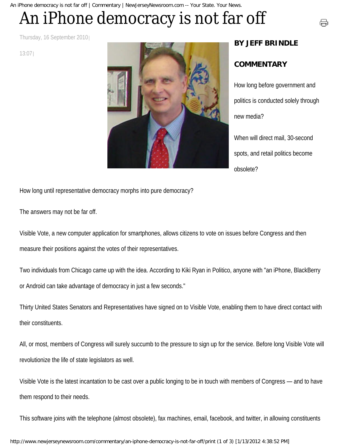An iPhone democracy is not far off | Commentary | NewJerseyNewsroom.com -- Your State. Your News.

## An iPhone democracy is not far off

Thursday, 16 September 2010

13:07



## **BY JEFF BRINDLE**

## **COMMENTARY**

How long before government and politics is conducted solely through new media?

号

When will direct mail, 30-second spots, and retail politics become obsolete?

How long until representative democracy morphs into pure democracy?

The answers may not be far off.

Visible Vote, a new computer application for smartphones, allows citizens to vote on issues before Congress and then measure their positions against the votes of their representatives.

Two individuals from Chicago came up with the idea. According to Kiki Ryan in Politico, anyone with "an iPhone, BlackBerry or Android can take advantage of democracy in just a few seconds."

Thirty United States Senators and Representatives have signed on to Visible Vote, enabling them to have direct contact with their constituents.

All, or most, members of Congress will surely succumb to the pressure to sign up for the service. Before long Visible Vote will revolutionize the life of state legislators as well.

Visible Vote is the latest incantation to be cast over a public longing to be in touch with members of Congress — and to have them respond to their needs.

This software joins with the telephone (almost obsolete), fax machines, email, facebook, and twitter, in allowing constituents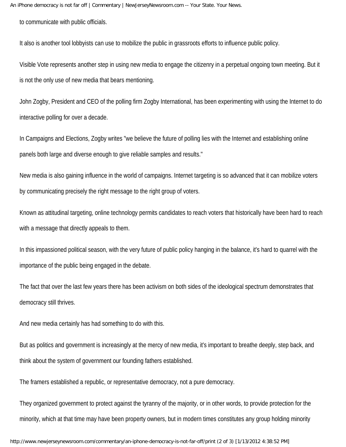to communicate with public officials.

It also is another tool lobbyists can use to mobilize the public in grassroots efforts to influence public policy.

Visible Vote represents another step in using new media to engage the citizenry in a perpetual ongoing town meeting. But it is not the only use of new media that bears mentioning.

John Zogby, President and CEO of the polling firm Zogby International, has been experimenting with using the Internet to do interactive polling for over a decade.

In Campaigns and Elections, Zogby writes "we believe the future of polling lies with the Internet and establishing online panels both large and diverse enough to give reliable samples and results."

New media is also gaining influence in the world of campaigns. Internet targeting is so advanced that it can mobilize voters by communicating precisely the right message to the right group of voters.

Known as attitudinal targeting, online technology permits candidates to reach voters that historically have been hard to reach with a message that directly appeals to them.

In this impassioned political season, with the very future of public policy hanging in the balance, it's hard to quarrel with the importance of the public being engaged in the debate.

The fact that over the last few years there has been activism on both sides of the ideological spectrum demonstrates that democracy still thrives.

And new media certainly has had something to do with this.

But as politics and government is increasingly at the mercy of new media, it's important to breathe deeply, step back, and think about the system of government our founding fathers established.

The framers established a republic, or representative democracy, not a pure democracy.

They organized government to protect against the tyranny of the majority, or in other words, to provide protection for the minority, which at that time may have been property owners, but in modern times constitutes any group holding minority